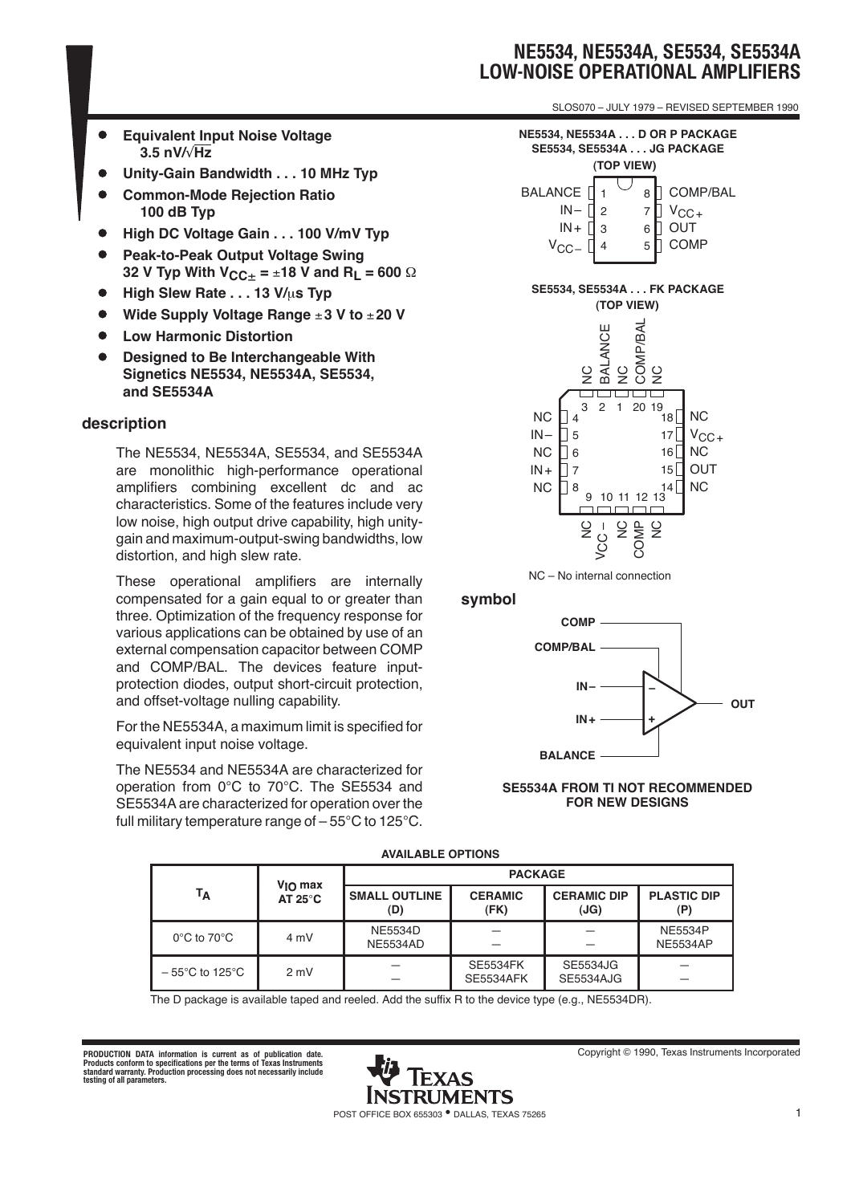SLOS070 – JULY 1979 – REVISED SEPTEMBER 1990

- **Equivalent Input Noise Voltage**  $\bullet$ **3.5 nV/**√**Hz**
- **Unity-Gain Bandwidth . . . 10 MHz Typ**
- **Common-Mode Rejection Ratio 100 dB Typ**
- **High DC Voltage Gain... 100 V/mV Typ**
- **Peak-to-Peak Output Voltage Swing 32 V Typ With VCC**± **=** ±**18 V and RL = 600** Ω
- **High Slew Rate . . . 13 V/**µ**s Typ**
- **Wide Supply Voltage Range** ±**3 V to** ±**20 V**
- **Low Harmonic Distortion**
- **Designed to Be Interchangeable With Signetics NE5534, NE5534A, SE5534, and SE5534A**

#### **description**

The NE5534, NE5534A, SE5534, and SE5534A are monolithic high-performance operational amplifiers combining excellent dc and ac characteristics. Some of the features include very low noise, high output drive capability, high unitygain and maximum-output-swing bandwidths, low distortion, and high slew rate.

These operational amplifiers are internally compensated for a gain equal to or greater than three. Optimization of the frequency response for various applications can be obtained by use of an external compensation capacitor between COMP and COMP/BAL. The devices feature inputprotection diodes, output short-circuit protection, and offset-voltage nulling capability.

For the NE5534A, a maximum limit is specified for equivalent input noise voltage.

The NE5534 and NE5534A are characterized for operation from 0°C to 70°C. The SE5534 and SE5534A are characterized for operation over the full military temperature range of – 55°C to 125°C.



#### **symbol**



#### **SE5534A FROM TI NOT RECOMMENDED FOR NEW DESIGNS**

| AVAILADLL OF HONG                   |                                          |                                   |                                     |                                     |                                   |  |  |  |  |  |
|-------------------------------------|------------------------------------------|-----------------------------------|-------------------------------------|-------------------------------------|-----------------------------------|--|--|--|--|--|
| Тд                                  | $V_{\text{IO}}$ max<br>AT $25^{\circ}$ C | <b>PACKAGE</b>                    |                                     |                                     |                                   |  |  |  |  |  |
|                                     |                                          | <b>SMALL OUTLINE</b><br>(D)       | <b>CERAMIC</b><br>(FK)              | <b>CERAMIC DIP</b><br>(JG)          | <b>PLASTIC DIP</b><br>(P)         |  |  |  |  |  |
| $0^{\circ}$ C to 70 $^{\circ}$ C    | 4 mV                                     | <b>NE5534D</b><br><b>NE5534AD</b> |                                     |                                     | <b>NE5534P</b><br><b>NE5534AP</b> |  |  |  |  |  |
| $-55^{\circ}$ C to 125 $^{\circ}$ C | 2 mV                                     |                                   | <b>SE5534FK</b><br><b>SE5534AFK</b> | <b>SE5534JG</b><br><b>SE5534AJG</b> |                                   |  |  |  |  |  |

### **AVAILABLE OPTIONS**

The D package is available taped and reeled. Add the suffix R to the device type (e.g., NE5534DR).

PRODUCTION DATA information is current as of publication date.<br>Products conform to specifications per the terms of Texas Instruments<br>standard warranty. Products conform to specifications per the terms of Texas Instruments<br>

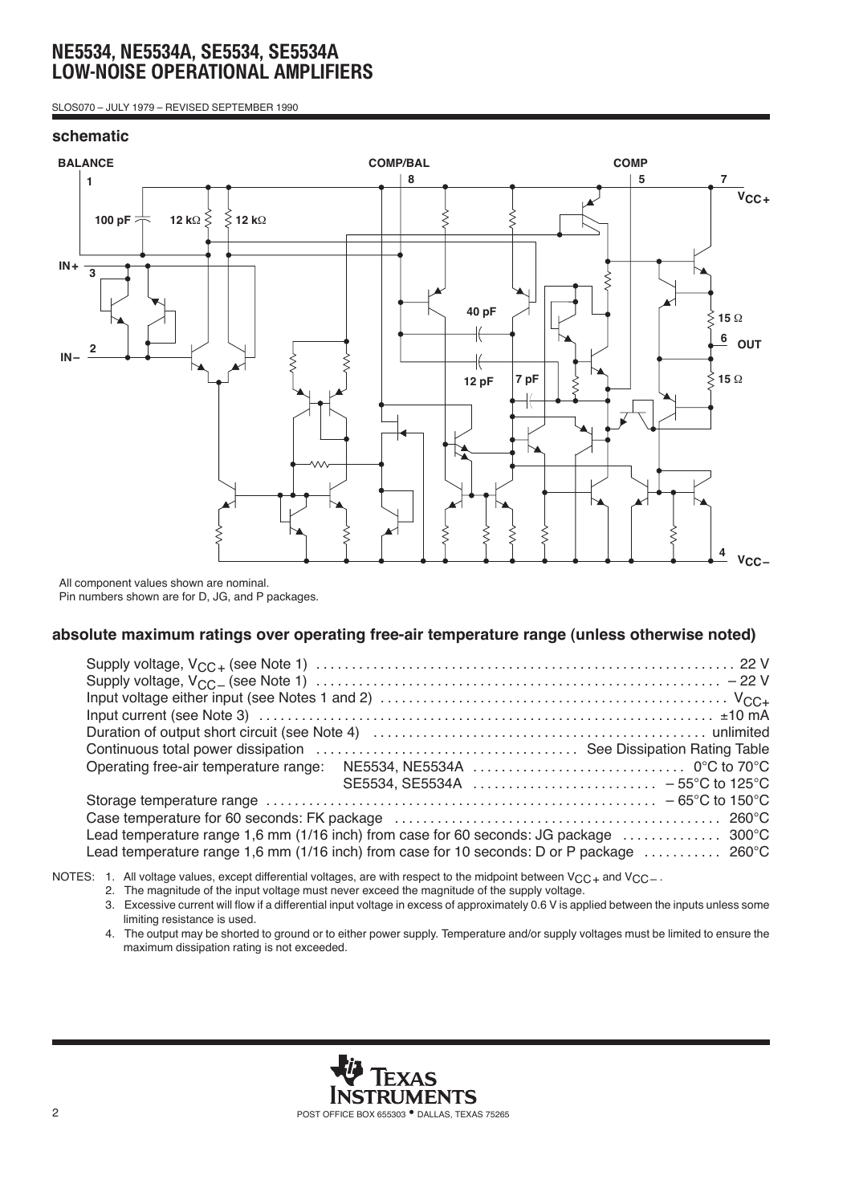SLOS070 – JULY 1979 – REVISED SEPTEMBER 1990

### **schematic**



All component values shown are nominal. Pin numbers shown are for D, JG, and P packages.

### **absolute maximum ratings over operating free-air temperature range (unless otherwise noted)**

| Lead temperature range 1,6 mm (1/16 inch) from case for 60 seconds: JG package  300°C                           |  |
|-----------------------------------------------------------------------------------------------------------------|--|
| Lead temperature range 1,6 mm (1/16 inch) from case for 10 seconds: D or P package $\ldots \ldots \ldots$ 260°C |  |

NOTES: 1. All voltage values, except differential voltages, are with respect to the midpoint between  $V_{CC+}$  and  $V_{CC-}$ .

- 2. The magnitude of the input voltage must never exceed the magnitude of the supply voltage.
	- 3. Excessive current will flow if a differential input voltage in excess of approximately 0.6 V is applied between the inputs unless some limiting resistance is used.
	- 4. The output may be shorted to ground or to either power supply. Temperature and/or supply voltages must be limited to ensure the maximum dissipation rating is not exceeded.

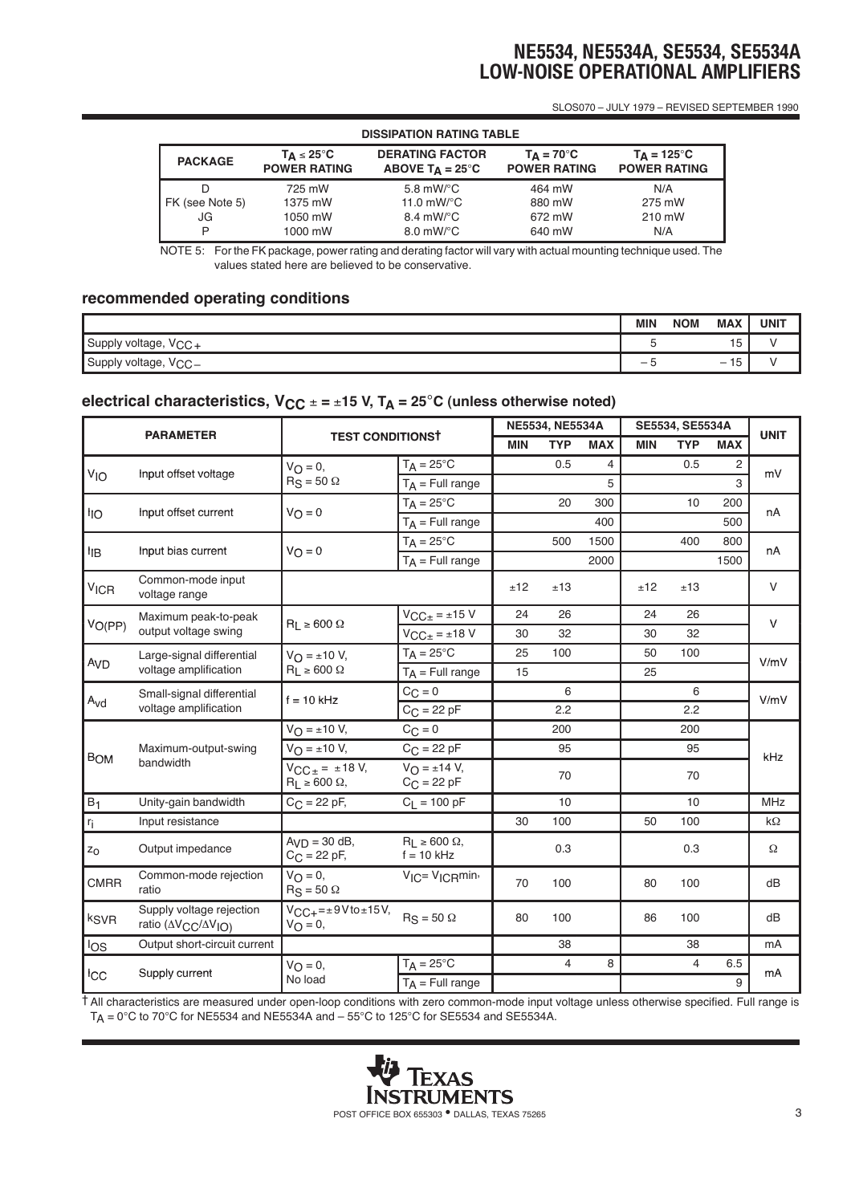SLOS070 – JULY 1979 – REVISED SEPTEMBER 1990

| <b>DISSIPATION RATING TABLE</b> |                                                      |                                                    |                                            |                                             |  |  |  |
|---------------------------------|------------------------------------------------------|----------------------------------------------------|--------------------------------------------|---------------------------------------------|--|--|--|
| <b>PACKAGE</b>                  | $T_{\Delta} \leq 25^{\circ}C$<br><b>POWER RATING</b> | <b>DERATING FACTOR</b><br>ABOVE $T_A = 25^\circ C$ | $T_{\Delta}$ = 70°C<br><b>POWER RATING</b> | $T_{\Delta}$ = 125°C<br><b>POWER RATING</b> |  |  |  |
| D                               | 725 mW                                               | 5.8 mW/ $\mathrm{^{\circ}C}$                       | 464 mW                                     | N/A                                         |  |  |  |
| FK (see Note 5)                 | 1375 mW                                              | 11.0 $mW$ <sup>o</sup> C                           | 880 mW                                     | 275 mW                                      |  |  |  |
| JG                              | 1050 mW                                              | $8.4 \text{ mW}$ <sup>o</sup> C                    | 672 mW                                     | 210 mW                                      |  |  |  |
| P                               | 1000 mW                                              | $8.0 \text{ mW}$ <sup>o</sup> C                    | 640 mW                                     | N/A                                         |  |  |  |

NOTE 5: For the FK package, power rating and derating factor will vary with actual mounting technique used. The values stated here are believed to be conservative.

### **recommended operating conditions**

|                                  | MIN | <b>MAX</b><br><b>NOM</b>                          | <b>UNIT</b> |
|----------------------------------|-----|---------------------------------------------------|-------------|
| Supply voltage,<br>Voo<br>≁ت∪ت   |     | $\overline{a}$<br>15                              |             |
| Supply voltage,<br>$V_{\rm CC-}$ | -   | $\overline{a}$<br>ıb.<br>$\overline{\phantom{a}}$ |             |

# **electrical characteristics,**  $V_{CC} = \pm 15$  **V, T<sub>A</sub> = 25<sup>°</sup>C (unless otherwise noted)**

| <b>PARAMETER</b>            |                                                                        | <b>TEST CONDITIONST</b>                                          |                                                      | NE5534, NE5534A |                |            | SE5534, SE5534A |                |            | <b>UNIT</b> |
|-----------------------------|------------------------------------------------------------------------|------------------------------------------------------------------|------------------------------------------------------|-----------------|----------------|------------|-----------------|----------------|------------|-------------|
|                             |                                                                        |                                                                  |                                                      | <b>MIN</b>      | <b>TYP</b>     | <b>MAX</b> | <b>MIN</b>      | <b>TYP</b>     | <b>MAX</b> |             |
| VIO<br>Input offset voltage |                                                                        | $V_{\Omega} = 0$ ,                                               | $T_A = 25^{\circ}C$                                  |                 | 0.5            | 4          |                 | 0.5            | 2          | mV          |
|                             |                                                                        | $RS = 50$ $\Omega$                                               | $T_A$ = Full range                                   |                 |                | 5          |                 |                | 3          |             |
|                             | Input offset current                                                   | $V_O = 0$                                                        | $T_A = 25^{\circ}C$                                  |                 | 20             | 300        |                 | 10             | 200        | nA          |
| <sup>l</sup> IO             |                                                                        |                                                                  | $T_A$ = Full range                                   |                 |                | 400        |                 |                | 500        |             |
|                             | Input bias current                                                     | $V_O = 0$                                                        | $T_A = 25^{\circ}C$                                  |                 | 500            | 1500       |                 | 400            | 800        | nA          |
| ŀıв                         |                                                                        |                                                                  | $T_A$ = Full range                                   |                 |                | 2000       |                 |                | 1500       |             |
| <b>V<sub>ICR</sub></b>      | Common-mode input<br>voltage range                                     |                                                                  |                                                      | ±12             | ±13            |            | ±12             | ±13            |            | V           |
|                             | Maximum peak-to-peak                                                   |                                                                  | $V_{\text{CC}\pm}$ = ±15 V                           | 24              | 26             |            | 24              | 26             |            | $\vee$      |
| $V_{O(PP)}$                 | output voltage swing                                                   | $R_1 \ge 600 \Omega$                                             | $V_{\text{CC}\pm}$ = ±18 V                           | 30              | 32             |            | 30              | 32             |            |             |
|                             | Large-signal differential<br>voltage amplification                     | $V_{\Omega} = \pm 10 V$ ,<br>$R_L \ge 600 \Omega$                | $T_A = 25^{\circ}C$                                  | 25              | 100            |            | 50              | 100            |            | V/mV        |
| Av <sub>D</sub>             |                                                                        |                                                                  | $T_A$ = Full range                                   | 15              |                |            | 25              |                |            |             |
|                             | Small-signal differential<br>voltage amplification                     | $f = 10$ kHz                                                     | $C_{\text{C}} = 0$                                   |                 | 6              |            |                 | 6              |            | V/mV        |
| $A_{\text{Vd}}$             |                                                                        |                                                                  | $C_{C}$ = 22 pF                                      |                 | 2.2            |            |                 | 2.2            |            |             |
|                             | Maximum-output-swing<br>bandwidth                                      | $V_{\bigcap} = \pm 10 V$ ,                                       | $C_{\text{C}} = 0$                                   |                 | 200            |            |                 | 200            |            | kHz         |
| <b>BOM</b>                  |                                                                        | $V_{\Omega} = \pm 10 V$ ,                                        | $C_{C}$ = 22 pF                                      |                 | 95             |            |                 | 95             |            |             |
|                             |                                                                        | $V_{\text{CC}\pm} = \pm 18 \text{ V},$<br>$R_1 \ge 600 \Omega$ , | $V_{\text{O}} = \pm 14 \text{ V}$ ,<br>$C_C = 22 pF$ |                 | 70             |            |                 | 70             |            |             |
| $B_1$                       | Unity-gain bandwidth                                                   | $C_{C} = 22 pF,$                                                 | $C_1 = 100 pF$                                       |                 | 10             |            |                 | 10             |            | <b>MHz</b>  |
| $r_i$                       | Input resistance                                                       |                                                                  |                                                      | 30              | 100            |            | 50              | 100            |            | $k\Omega$   |
| $z_0$                       | Output impedance                                                       | $AyD = 30 dB$ ,<br>$C_{C}$ = 22 pF,                              | $R_L \ge 600 \Omega$ ,<br>$f = 10$ kHz               |                 | 0.3            |            |                 | 0.3            |            | Ω           |
| <b>CMRR</b>                 | Common-mode rejection<br>ratio                                         | $V_{\bigcap} = 0$ ,<br>$R_S = 50 \Omega$                         | $V_{IC} = V_{IC}$ <sub>min</sub> ,                   | 70              | 100            |            | 80              | 100            |            | dB          |
| k <sub>SVR</sub>            | Supply voltage rejection<br>ratio (AV <sub>CC</sub> /AV <sub>IO)</sub> | $V_{CC+} = \pm 9$ V to $\pm 15$ V,<br>$V_{\Omega} = 0$ ,         | $R_S = 50 \Omega$                                    | 80              | 100            |            | 86              | 100            |            | dB          |
| los                         | Output short-circuit current                                           |                                                                  |                                                      |                 | 38             |            |                 | 38             |            | mA          |
|                             |                                                                        | $V_O = 0,$                                                       | $T_A = 25^{\circ}C$                                  |                 | $\overline{4}$ | 8          |                 | $\overline{4}$ | 6.5        | mA          |
| <sub>ICC</sub>              | Supply current                                                         | No load                                                          | $T_A$ = Full range                                   |                 |                |            |                 |                | 9          |             |

† All characteristics are measured under open-loop conditions with zero common-mode input voltage unless otherwise specified. Full range is  $T_A = 0^\circ \text{C}$  to 70°C for NE5534 and NE5534A and  $-55^\circ \text{C}$  to 125°C for SE5534 and SE5534A.

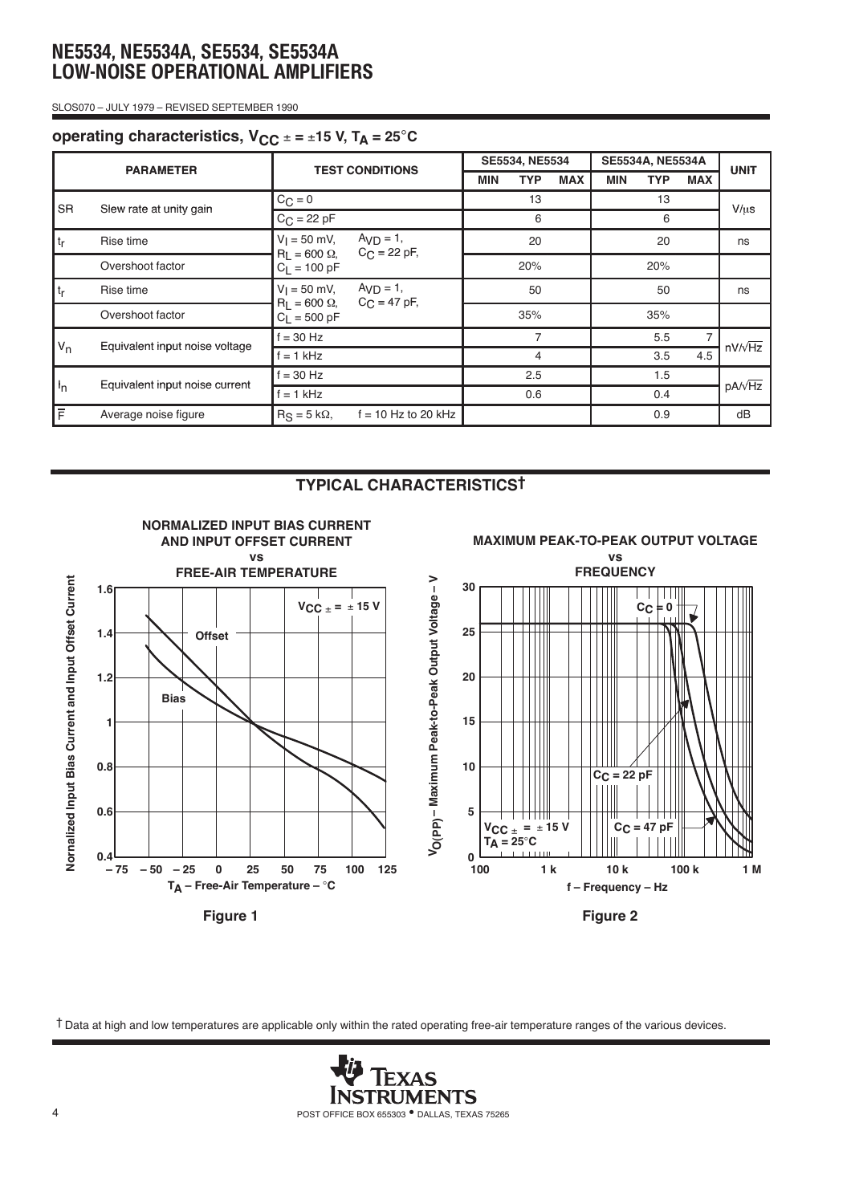SLOS070 – JULY 1979 – REVISED SEPTEMBER 1990

## **operating characteristics,**  $V_{CC} = \pm 15$  **V,**  $T_A = 25^{\circ}C$

| <b>PARAMETER</b> |                                | <b>TEST CONDITIONS</b>                 |                                               | SE5534, NE5534 |            |            | <b>SE5534A, NE5534A</b> |            |                |                |
|------------------|--------------------------------|----------------------------------------|-----------------------------------------------|----------------|------------|------------|-------------------------|------------|----------------|----------------|
|                  |                                |                                        |                                               | <b>MIN</b>     | <b>TYP</b> | <b>MAX</b> | <b>MIN</b>              | <b>TYP</b> | <b>MAX</b>     | <b>UNIT</b>    |
| <b>SR</b>        | Slew rate at unity gain        | $C_C = 0$                              |                                               | 13             |            |            | 13                      |            |                | $V/\mu s$      |
|                  |                                | $C_{C} = 22 pF$                        |                                               | 6              |            |            | 6                       |            |                |                |
| t <sub>r</sub>   | Rise time                      | $V_1 = 50$ mV,<br>$R_1 = 600 \Omega$ , | $AVD = 1$ ,<br>$C_{\text{C}} = 22 \text{ pF}$ | 20             |            |            | 20                      |            |                | ns             |
|                  | Overshoot factor               | $C_1 = 100 pF$                         |                                               |                | 20%        |            |                         | 20%        |                |                |
| $ t_r $          | Rise time                      | $V_1 = 50$ mV,                         | $AvD = 1$ ,                                   |                | 50         |            |                         | 50         |                | ns             |
|                  | Overshoot factor               | $R_1 = 600 \Omega$ ,<br>$C_1 = 500 pF$ | $C_{C}$ = 47 pF,                              |                | 35%        |            |                         | 35%        |                |                |
| $V_{n}$          | Equivalent input noise voltage | $f = 30$ Hz                            |                                               |                | 7          |            |                         | 5.5        | $\overline{7}$ | $nV/\sqrt{Hz}$ |
|                  |                                | $f = 1$ kHz                            |                                               |                | 4          |            | 3.5                     |            | 4.5            |                |
| $I_{n}$          |                                | $f = 30$ Hz<br>$f = 1$ kHz             |                                               | 2.5            |            | 1.5        |                         |            |                |                |
|                  | Equivalent input noise current |                                        |                                               | 0.6            |            |            |                         | 0.4        | $pA/\sqrt{Hz}$ |                |
| $\bar{F}$        | Average noise figure           | $R_S = 5 k\Omega$                      | $f = 10$ Hz to 20 kHz                         |                |            |            |                         | 0.9        |                | dB             |

### **TYPICAL CHARACTERISTICS†**



† Data at high and low temperatures are applicable only within the rated operating free-air temperature ranges of the various devices.

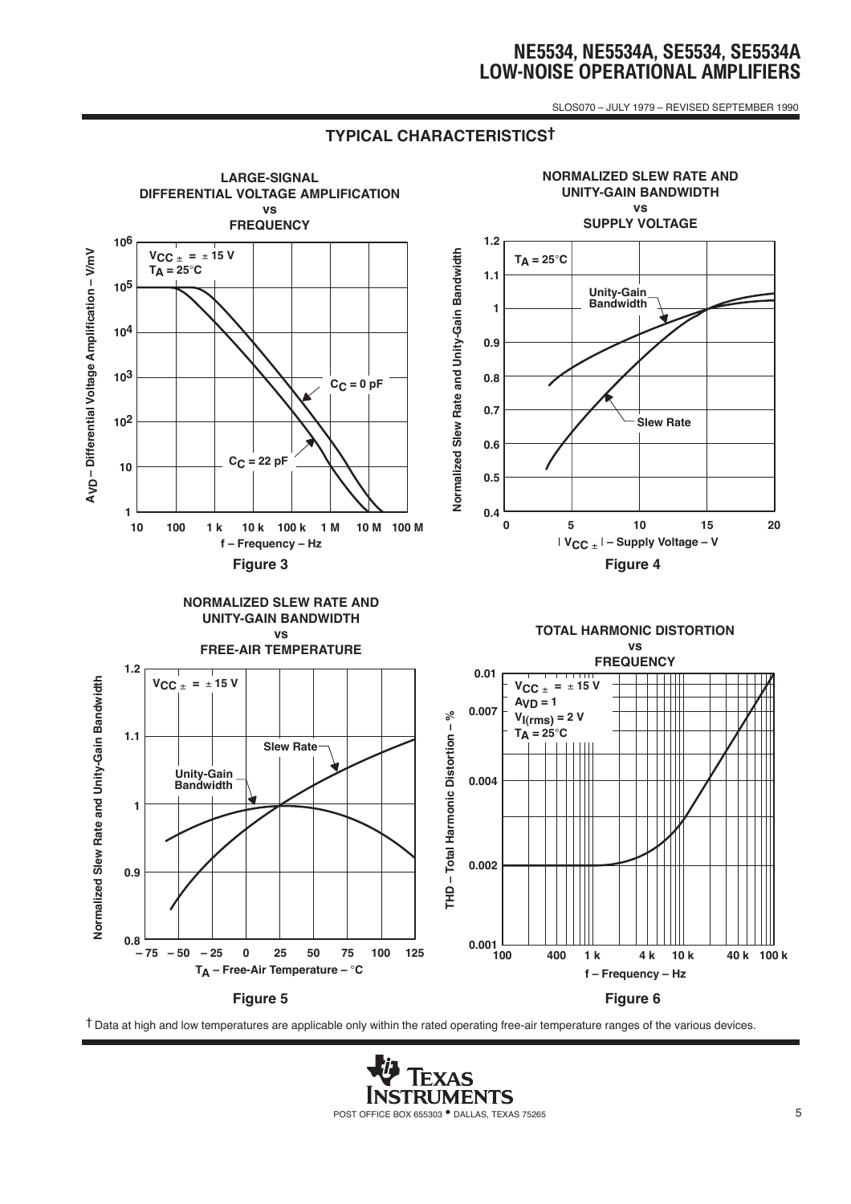SLOS070 – JULY 1979 – REVISED SEPTEMBER 1990

## **TYPICAL CHARACTERISTICS†**



† Data at high and low temperatures are applicable only within the rated operating free-air temperature ranges of the various devices.

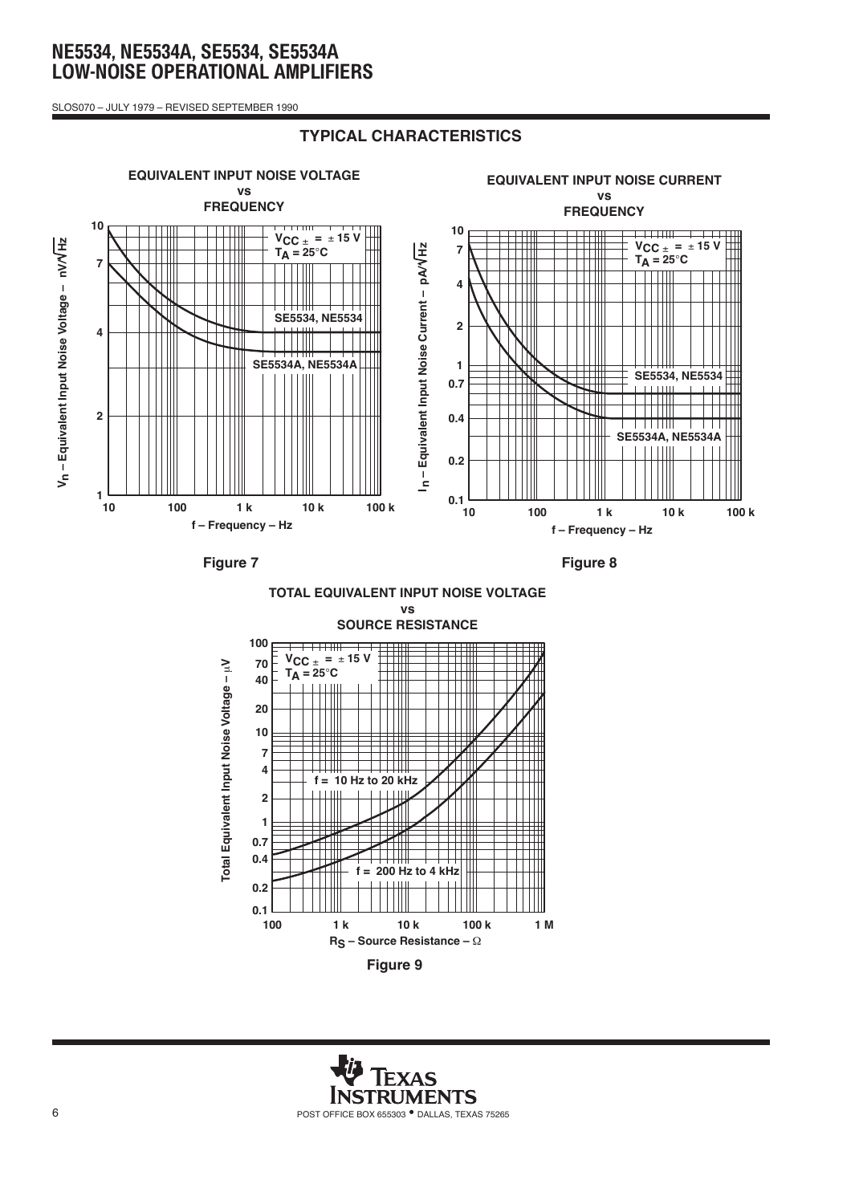SLOS070 – JULY 1979 – REVISED SEPTEMBER 1990

### **TYPICAL CHARACTERISTICS**



**Figure 7**

**Figure 8**